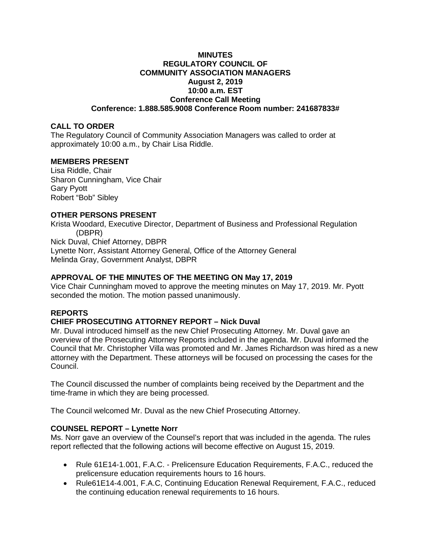#### **MINUTES REGULATORY COUNCIL OF COMMUNITY ASSOCIATION MANAGERS August 2, 2019 10:00 a.m. EST Conference Call Meeting Conference: 1.888.585.9008 Conference Room number: 241687833#**

## **CALL TO ORDER**

The Regulatory Council of Community Association Managers was called to order at approximately 10:00 a.m., by Chair Lisa Riddle.

### **MEMBERS PRESENT**

Lisa Riddle, Chair Sharon Cunningham, Vice Chair Gary Pyott Robert "Bob" Sibley

# **OTHER PERSONS PRESENT**

Krista Woodard, Executive Director, Department of Business and Professional Regulation (DBPR) Nick Duval, Chief Attorney, DBPR Lynette Norr, Assistant Attorney General, Office of the Attorney General Melinda Gray, Government Analyst, DBPR

## **APPROVAL OF THE MINUTES OF THE MEETING ON May 17, 2019**

Vice Chair Cunningham moved to approve the meeting minutes on May 17, 2019. Mr. Pyott seconded the motion. The motion passed unanimously.

## **REPORTS**

## **CHIEF PROSECUTING ATTORNEY REPORT – Nick Duval**

Mr. Duval introduced himself as the new Chief Prosecuting Attorney. Mr. Duval gave an overview of the Prosecuting Attorney Reports included in the agenda. Mr. Duval informed the Council that Mr. Christopher Villa was promoted and Mr. James Richardson was hired as a new attorney with the Department. These attorneys will be focused on processing the cases for the Council.

The Council discussed the number of complaints being received by the Department and the time-frame in which they are being processed.

The Council welcomed Mr. Duval as the new Chief Prosecuting Attorney.

## **COUNSEL REPORT – Lynette Norr**

Ms. Norr gave an overview of the Counsel's report that was included in the agenda. The rules report reflected that the following actions will become effective on August 15, 2019.

- Rule 61E14-1.001, F.A.C. Prelicensure Education Requirements, F.A.C., reduced the prelicensure education requirements hours to 16 hours.
- Rule61E14-4.001, F.A.C, Continuing Education Renewal Requirement, F.A.C., reduced the continuing education renewal requirements to 16 hours.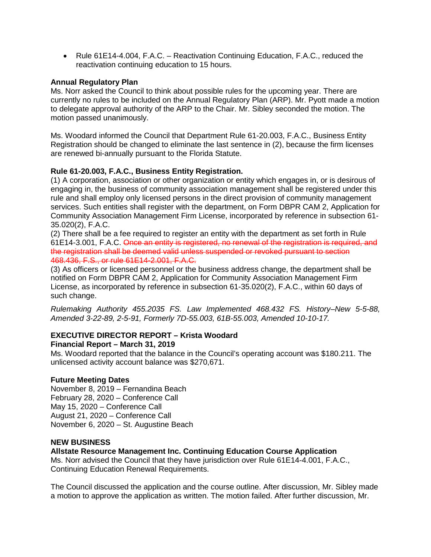• Rule 61E14-4.004, F.A.C. – Reactivation Continuing Education, F.A.C., reduced the reactivation continuing education to 15 hours.

### **Annual Regulatory Plan**

Ms. Norr asked the Council to think about possible rules for the upcoming year. There are currently no rules to be included on the Annual Regulatory Plan (ARP). Mr. Pyott made a motion to delegate approval authority of the ARP to the Chair. Mr. Sibley seconded the motion. The motion passed unanimously.

Ms. Woodard informed the Council that Department Rule 61-20.003, F.A.C., Business Entity Registration should be changed to eliminate the last sentence in (2), because the firm licenses are renewed bi-annually pursuant to the Florida Statute.

## **Rule 61-20.003, F.A.C., Business Entity Registration.**

(1) A corporation, association or other organization or entity which engages in, or is desirous of engaging in, the business of community association management shall be registered under this rule and shall employ only licensed persons in the direct provision of community management services. Such entities shall register with the department, on Form DBPR CAM 2, Application for Community Association Management Firm License, incorporated by reference in subsection 61- 35.020(2), F.A.C.

(2) There shall be a fee required to register an entity with the department as set forth in Rule 61E14-3.001, F.A.C. Once an entity is registered, no renewal of the registration is required, and the registration shall be deemed valid unless suspended or revoked pursuant to section 468.436, F.S., or rule 61E14-2.001, F.A.C.

(3) As officers or licensed personnel or the business address change, the department shall be notified on Form DBPR CAM 2, Application for Community Association Management Firm License, as incorporated by reference in subsection 61-35.020(2), F.A.C., within 60 days of such change.

*Rulemaking Authority 455.2035 FS. Law Implemented 468.432 FS. History–New 5-5-88, Amended 3-22-89, 2-5-91, Formerly 7D-55.003, 61B-55.003, Amended 10-10-17.*

#### **EXECUTIVE DIRECTOR REPORT – Krista Woodard Financial Report – March 31, 2019**

Ms. Woodard reported that the balance in the Council's operating account was \$180.211. The unlicensed activity account balance was \$270,671.

## **Future Meeting Dates**

November 8, 2019 – Fernandina Beach February 28, 2020 – Conference Call May 15, 2020 – Conference Call August 21, 2020 – Conference Call November 6, 2020 – St. Augustine Beach

# **NEW BUSINESS**

## **Allstate Resource Management Inc. Continuing Education Course Application**

Ms. Norr advised the Council that they have jurisdiction over Rule 61E14-4.001, F.A.C., Continuing Education Renewal Requirements.

The Council discussed the application and the course outline. After discussion, Mr. Sibley made a motion to approve the application as written. The motion failed. After further discussion, Mr.